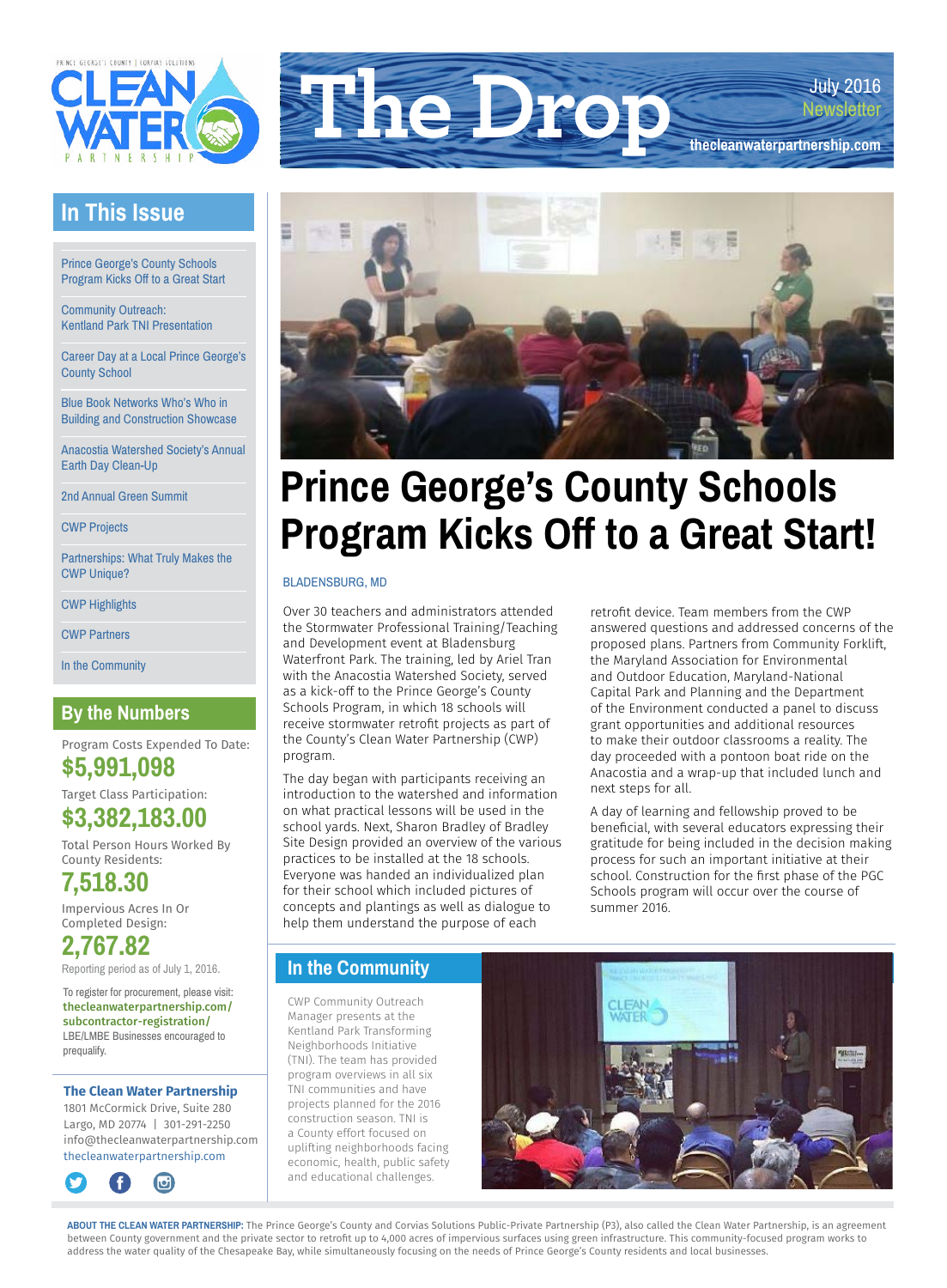

### **In This Issue**

Prince George's County Schools Program Kicks Off to a Great Start

Community Outreach: Kentland Park TNI Presentation

Career Day at a Local Prince George's County School

Blue Book Networks Who's Who in Building and Construction Showcase

Anacostia Watershed Society's Annual Earth Day Clean-Up

2nd Annual Green Summit

CWP Projects

Partnerships: What Truly Makes the CWP Unique?

CWP Highlights

CWP Partners

In the Community

### **By the Numbers**

Program Costs Expended To Date: **\$5,991,098** 

Target Class Participation: **\$3,382,183.00**

Total Person Hours Worked By County Residents:

**7,518.30**

Impervious Acres In Or Completed Design:

**2,767.82** Reporting period as of July 1, 2016.

To register for procurement, please visit: [thecleanwaterpartnership.com/](http://thecleanwaterpartnership.com/subcontractor) [subcontractor](http://thecleanwaterpartnership.com/subcontractor)-registration/ LBE/LMBE Businesses encouraged to prequalify.

#### **The Clean Water Partnership**

1801 McCormick Drive, Suite 280 Largo, MD 20774 | 301-291-2250 [info@thecleanwaterpartnership.com](mailto:info@thecleanwaterpartnership.com) [thecleanwaterpartnership.com](http://thecleanwaterpartnership.com)







# **Prince George's County Schools Program Kicks Off to a Great Start!**

#### BLADENSBURG, MD

Over 30 teachers and administrators attended the Stormwater Professional Training/Teaching and Development event at Bladensburg Waterfront Park. The training, led by Ariel Tran with the Anacostia Watershed Society, served as a kick-off to the Prince George's County Schools Program, in which 18 schools will receive stormwater retrofit projects as part of the County's Clean Water Partnership (CWP) program.

The day began with participants receiving an introduction to the watershed and information on what practical lessons will be used in the school yards. Next, Sharon Bradley of Bradley Site Design provided an overview of the various practices to be installed at the 18 schools. Everyone was handed an individualized plan for their school which included pictures of concepts and plantings as well as dialogue to help them understand the purpose of each

retrofit device. Team members from the CWP answered questions and addressed concerns of the proposed plans. Partners from Community Forklift, the Maryland Association for Environmental and Outdoor Education, Maryland-National Capital Park and Planning and the Department of the Environment conducted a panel to discuss grant opportunities and additional resources to make their outdoor classrooms a reality. The day proceeded with a pontoon boat ride on the Anacostia and a wrap-up that included lunch and next steps for all.

A day of learning and fellowship proved to be beneficial, with several educators expressing their gratitude for being included in the decision making process for such an important initiative at their school. Construction for the first phase of the PGC Schools program will occur over the course of summer 2016.

### **In the Community**

CWP Community Outreach Manager presents at the Kentland Park Transforming Neighborhoods Initiative (TNI). The team has provided program overviews in all six TNI communities and have projects planned for the 2016 construction season. TNI is a County effort focused on uplifting neighborhoods facing economic, health, public safety and educational challenges.



ABOUT THE CLEAN WATER PARTNERSHIP: The Prince George's County and Corvias Solutions Public-Private Partnership (P3), also called the Clean Water Partnership, is an agreement between County government and the private sector to retrofit up to 4,000 acres of impervious surfaces using green infrastructure. This community-focused program works to address the water quality of the Chesapeake Bay, while simultaneously focusing on the needs of Prince George's County residents and local businesses.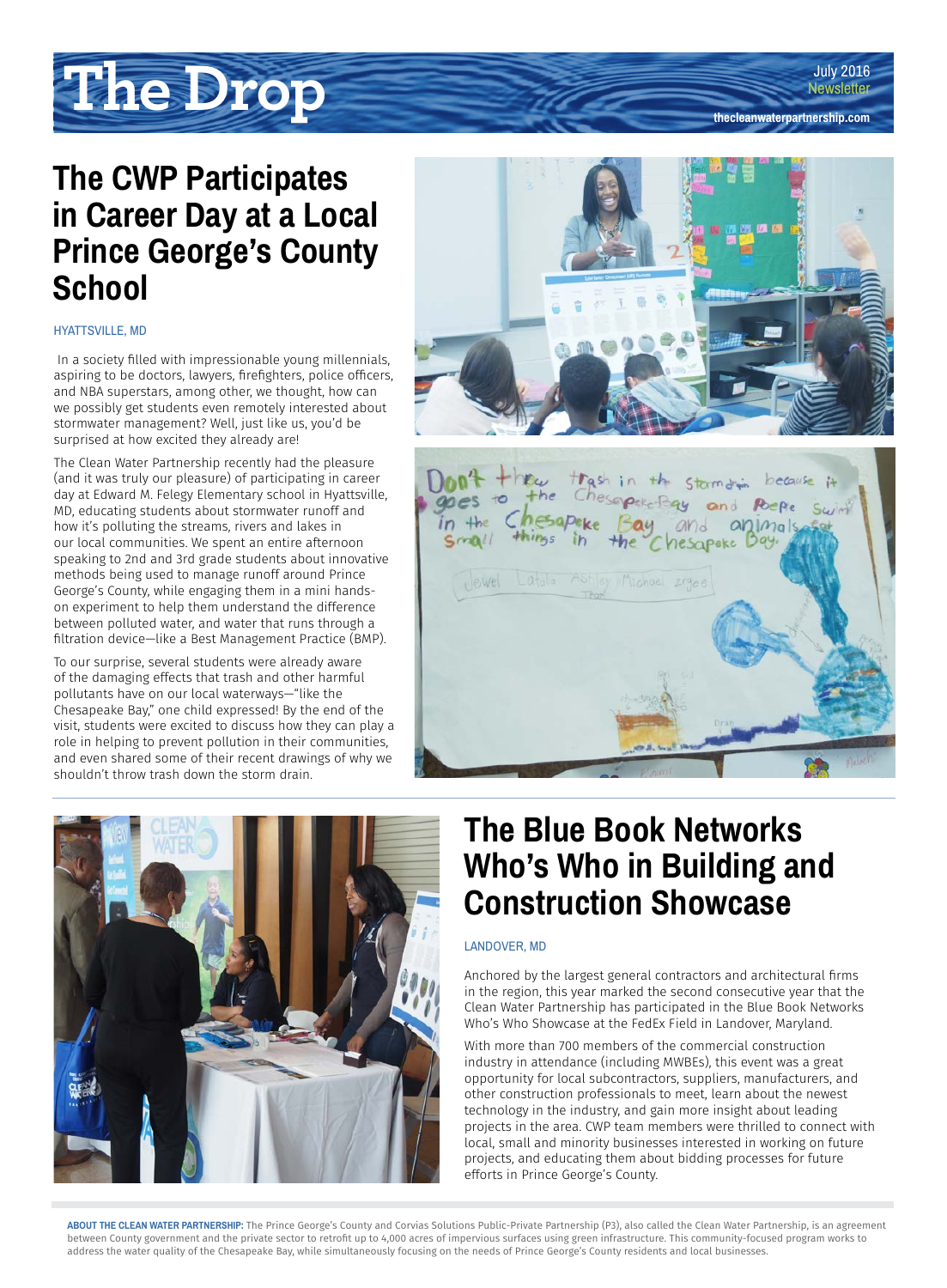**[thecleanwaterpartnership.com](http://thecleanwaterpartnership.com)**

# **The Drop**

## **The CWP Participates in Career Day at a Local Prince George's County School**

### HYATTSVILLE, MD

 In a society filled with impressionable young millennials, aspiring to be doctors, lawyers, firefighters, police officers, and NBA superstars, among other, we thought, how can we possibly get students even remotely interested about stormwater management? Well, just like us, you'd be surprised at how excited they already are!

The Clean Water Partnership recently had the pleasure (and it was truly our pleasure) of participating in career day at Edward M. Felegy Elementary school in Hyattsville, MD, educating students about stormwater runoff and how it's polluting the streams, rivers and lakes in our local communities. We spent an entire afternoon speaking to 2nd and 3rd grade students about innovative methods being used to manage runoff around Prince George's County, while engaging them in a mini handson experiment to help them understand the difference between polluted water, and water that runs through a filtration device—like a Best Management Practice (BMP).

To our surprise, several students were already aware of the damaging effects that trash and other harmful pollutants have on our local waterways—"like the Chesapeake Bay," one child expressed! By the end of the visit, students were excited to discuss how they can play a role in helping to prevent pollution in their communities, and even shared some of their recent drawings of why we shouldn't throw trash down the storm drain.





## **The Blue Book Networks Who's Who in Building and Construction Showcase**

### LANDOVER, MD

Anchored by the largest general contractors and architectural firms in the region, this year marked the second consecutive year that the Clean Water Partnership has participated in the Blue Book Networks Who's Who Showcase at the FedEx Field in Landover, Maryland.

With more than 700 members of the commercial construction industry in attendance (including MWBEs), this event was a great opportunity for local subcontractors, suppliers, manufacturers, and other construction professionals to meet, learn about the newest technology in the industry, and gain more insight about leading projects in the area. CWP team members were thrilled to connect with local, small and minority businesses interested in working on future projects, and educating them about bidding processes for future efforts in Prince George's County.

**ABOUT THE CLEAN WATER PARTNERSHIP:** The Prince George's County and Corvias Solutions Public-Private Partnership (P3), also called the Clean Water Partnership, is an agreement between County government and the private sector to retrofit up to 4,000 acres of impervious surfaces using green infrastructure. This community-focused program works to address the water quality of the Chesapeake Bay, while simultaneously focusing on the needs of Prince George's County residents and local businesses.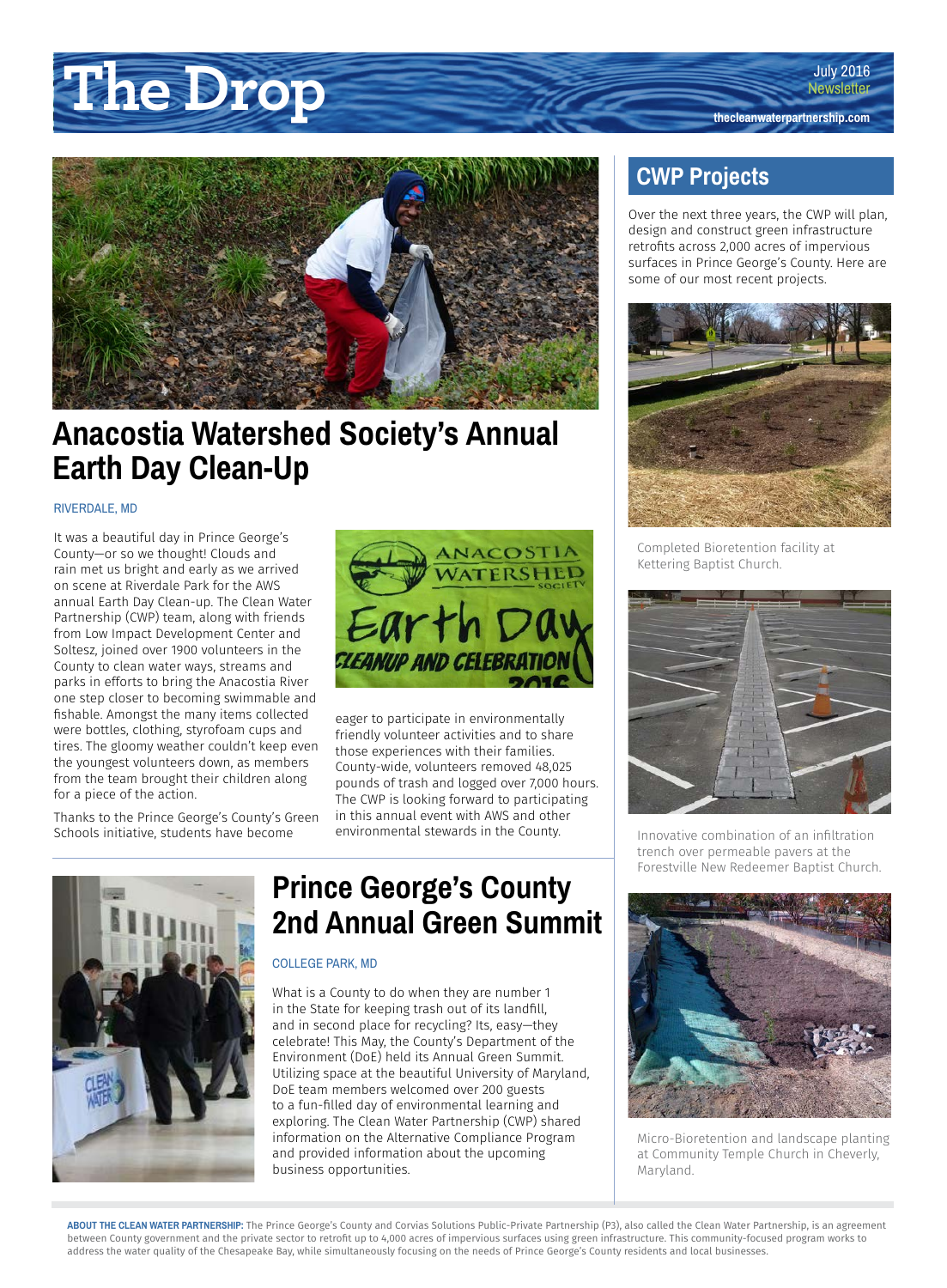# **The Drop the Change of The Drop the Change of The Change of The Change of The Change of The Change of The Change of The Change of The Change of The Change of The Change of The Change of The Change of The Change of The**



### **Anacostia Watershed Society's Annual Earth Day Clean-Up**

### RIVERDALE, MD

It was a beautiful day in Prince George's County—or so we thought! Clouds and rain met us bright and early as we arrived on scene at Riverdale Park for the AWS annual Earth Day Clean-up. The Clean Water Partnership (CWP) team, along with friends from Low Impact Development Center and Soltesz, joined over 1900 volunteers in the County to clean water ways, streams and parks in efforts to bring the Anacostia River one step closer to becoming swimmable and fishable. Amongst the many items collected were bottles, clothing, styrofoam cups and tires. The gloomy weather couldn't keep even the youngest volunteers down, as members from the team brought their children along for a piece of the action.

Thanks to the Prince George's County's Green Schools initiative, students have become



eager to participate in environmentally friendly volunteer activities and to share those experiences with their families. County-wide, volunteers removed 48,025 pounds of trash and logged over 7,000 hours. The CWP is looking forward to participating in this annual event with AWS and other environmental stewards in the County.



### **Prince George's County 2nd Annual Green Summit**

#### COLLEGE PARK, MD

What is a County to do when they are number 1 in the State for keeping trash out of its landfill, and in second place for recycling? Its, easy—they celebrate! This May, the County's Department of the Environment (DoE) held its Annual Green Summit. Utilizing space at the beautiful University of Maryland, DoE team members welcomed over 200 guests to a fun-filled day of environmental learning and exploring. The Clean Water Partnership (CWP) shared information on the Alternative Compliance Program and provided information about the upcoming business opportunities.

### **SPECIES**

Over the next three years, the CWP will plan, design and construct green infrastructure retrofits across 2,000 acres of impervious surfaces in Prince George's County. Here are some of our most recent projects.



Completed Bioretention facility at Kettering Baptist Church.



Innovative combination of an infiltration trench over permeable pavers at the Forestville New Redeemer Baptist Church.



Micro-Bioretention and landscape planting at Community Temple Church in Cheverly, Maryland.

**ABOUT THE CLEAN WATER PARTNERSHIP:** The Prince George's County and Corvias Solutions Public-Private Partnership (P3), also called the Clean Water Partnership, is an agreement between County government and the private sector to retrofit up to 4,000 acres of impervious surfaces using green infrastructure. This community-focused program works to address the water quality of the Chesapeake Bay, while simultaneously focusing on the needs of Prince George's County residents and local businesses.